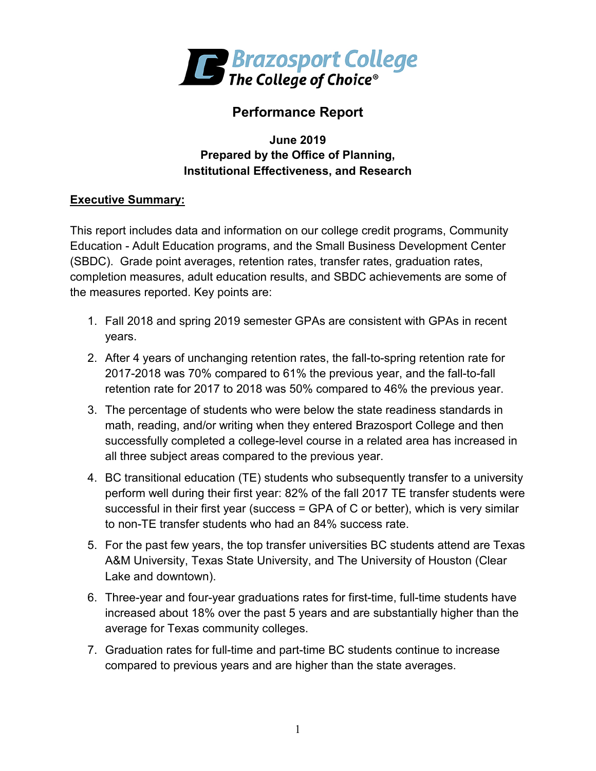

# **Performance Report**

### **June 2019 Prepared by the Office of Planning, Institutional Effectiveness, and Research**

## **Executive Summary:**

This report includes data and information on our college credit programs, Community Education - Adult Education programs, and the Small Business Development Center (SBDC). Grade point averages, retention rates, transfer rates, graduation rates, completion measures, adult education results, and SBDC achievements are some of the measures reported. Key points are:

- 1. Fall 2018 and spring 2019 semester GPAs are consistent with GPAs in recent years.
- 2. After 4 years of unchanging retention rates, the fall-to-spring retention rate for 2017-2018 was 70% compared to 61% the previous year, and the fall-to-fall retention rate for 2017 to 2018 was 50% compared to 46% the previous year.
- 3. The percentage of students who were below the state readiness standards in math, reading, and/or writing when they entered Brazosport College and then successfully completed a college-level course in a related area has increased in all three subject areas compared to the previous year.
- 4. BC transitional education (TE) students who subsequently transfer to a university perform well during their first year: 82% of the fall 2017 TE transfer students were successful in their first year (success = GPA of C or better), which is very similar to non-TE transfer students who had an 84% success rate.
- 5. For the past few years, the top transfer universities BC students attend are Texas A&M University, Texas State University, and The University of Houston (Clear Lake and downtown).
- 6. Three-year and four-year graduations rates for first-time, full-time students have increased about 18% over the past 5 years and are substantially higher than the average for Texas community colleges.
- 7. Graduation rates for full-time and part-time BC students continue to increase compared to previous years and are higher than the state averages.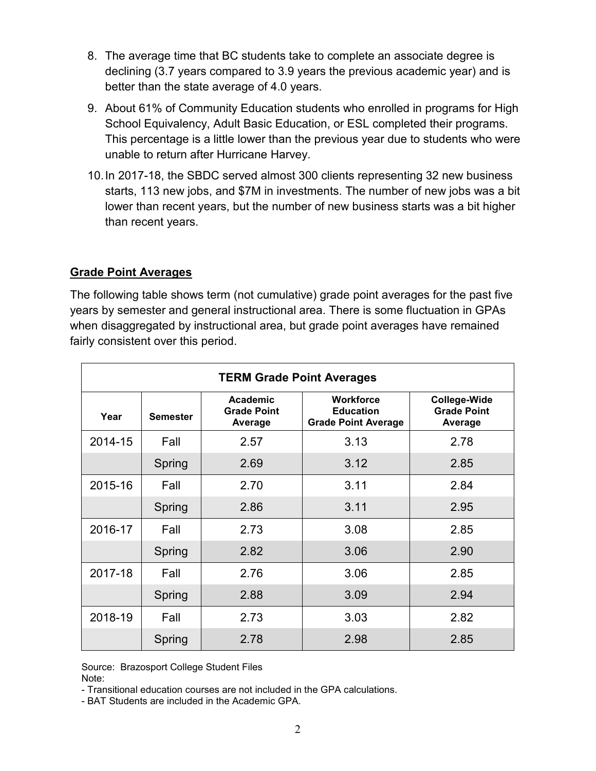- 8. The average time that BC students take to complete an associate degree is declining (3.7 years compared to 3.9 years the previous academic year) and is better than the state average of 4.0 years.
- 9. About 61% of Community Education students who enrolled in programs for High School Equivalency, Adult Basic Education, or ESL completed their programs. This percentage is a little lower than the previous year due to students who were unable to return after Hurricane Harvey.
- 10.In 2017-18, the SBDC served almost 300 clients representing 32 new business starts, 113 new jobs, and \$7M in investments. The number of new jobs was a bit lower than recent years, but the number of new business starts was a bit higher than recent years.

### **Grade Point Averages**

The following table shows term (not cumulative) grade point averages for the past five years by semester and general instructional area. There is some fluctuation in GPAs when disaggregated by instructional area, but grade point averages have remained fairly consistent over this period.

| <b>TERM Grade Point Averages</b> |                 |                                           |                                                                    |                                                      |  |
|----------------------------------|-----------------|-------------------------------------------|--------------------------------------------------------------------|------------------------------------------------------|--|
| Year                             | <b>Semester</b> | Academic<br><b>Grade Point</b><br>Average | <b>Workforce</b><br><b>Education</b><br><b>Grade Point Average</b> | <b>College-Wide</b><br><b>Grade Point</b><br>Average |  |
| 2014-15                          | Fall            | 2.57                                      | 3.13                                                               | 2.78                                                 |  |
|                                  | Spring          | 2.69                                      | 3.12                                                               | 2.85                                                 |  |
| 2015-16                          | Fall            | 2.70                                      | 3.11                                                               | 2.84                                                 |  |
|                                  | Spring          | 2.86                                      | 3.11                                                               | 2.95                                                 |  |
| 2016-17                          | Fall            | 2.73                                      | 3.08                                                               | 2.85                                                 |  |
|                                  | Spring          | 2.82                                      | 3.06                                                               | 2.90                                                 |  |
| 2017-18                          | Fall            | 2.76                                      | 3.06                                                               | 2.85                                                 |  |
|                                  | Spring          | 2.88                                      | 3.09                                                               | 2.94                                                 |  |
| 2018-19                          | Fall            | 2.73                                      | 3.03                                                               | 2.82                                                 |  |
|                                  | Spring          | 2.78                                      | 2.98                                                               | 2.85                                                 |  |

Source: Brazosport College Student Files Note:

- Transitional education courses are not included in the GPA calculations.

- BAT Students are included in the Academic GPA.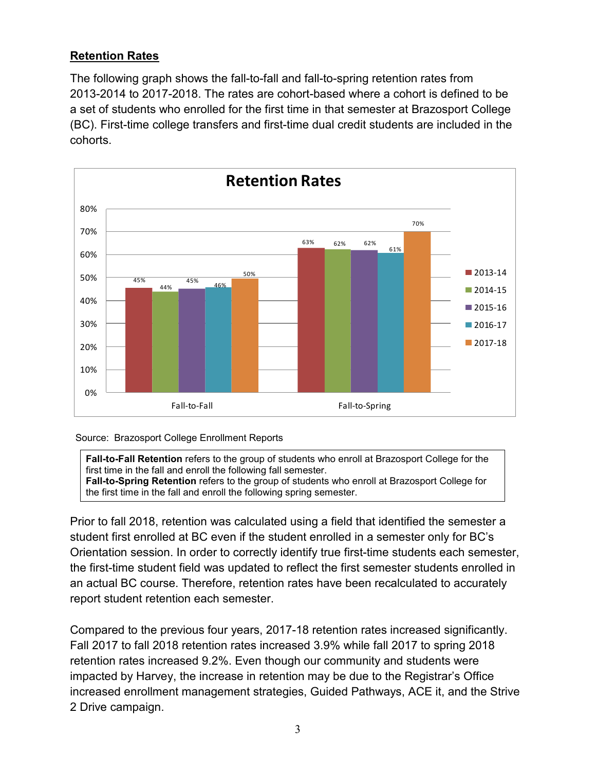## **Retention Rates**

The following graph shows the fall-to-fall and fall-to-spring retention rates from 2013-2014 to 2017-2018. The rates are cohort-based where a cohort is defined to be a set of students who enrolled for the first time in that semester at Brazosport College (BC). First-time college transfers and first-time dual credit students are included in the cohorts.



#### Source: Brazosport College Enrollment Reports

**Fall-to-Fall Retention** refers to the group of students who enroll at Brazosport College for the first time in the fall and enroll the following fall semester. **Fall-to-Spring Retention** refers to the group of students who enroll at Brazosport College for the first time in the fall and enroll the following spring semester.

Prior to fall 2018, retention was calculated using a field that identified the semester a student first enrolled at BC even if the student enrolled in a semester only for BC's Orientation session. In order to correctly identify true first-time students each semester, the first-time student field was updated to reflect the first semester students enrolled in an actual BC course. Therefore, retention rates have been recalculated to accurately report student retention each semester.

Compared to the previous four years, 2017-18 retention rates increased significantly. Fall 2017 to fall 2018 retention rates increased 3.9% while fall 2017 to spring 2018 retention rates increased 9.2%. Even though our community and students were impacted by Harvey, the increase in retention may be due to the Registrar's Office increased enrollment management strategies, Guided Pathways, ACE it, and the Strive 2 Drive campaign.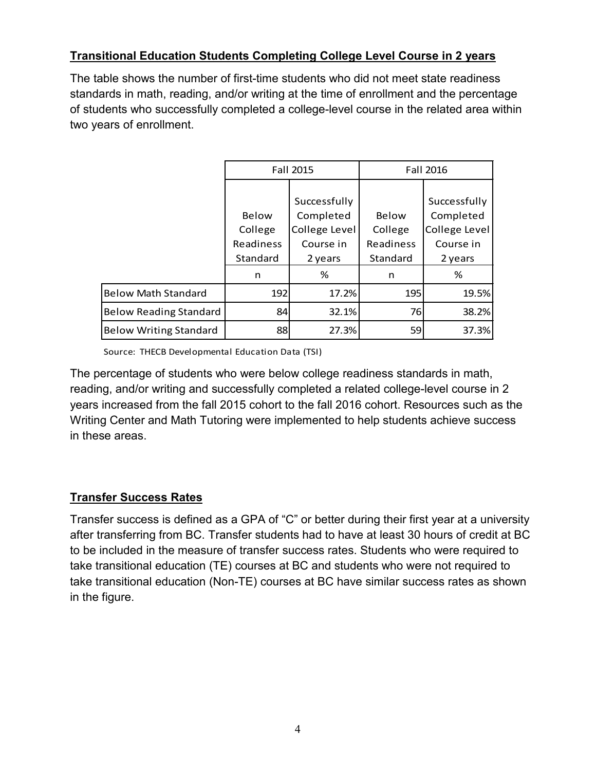### **Transitional Education Students Completing College Level Course in 2 years**

The table shows the number of first-time students who did not meet state readiness standards in math, reading, and/or writing at the time of enrollment and the percentage of students who successfully completed a college-level course in the related area within two years of enrollment.

|                               |           | Fall 2015     | Fall 2016  |               |  |
|-------------------------------|-----------|---------------|------------|---------------|--|
|                               |           |               |            |               |  |
|                               |           | Successfully  |            | Successfully  |  |
|                               | Below     | Completed     | Below      | Completed     |  |
|                               | College   | College Level | College    | College Level |  |
|                               | Readiness | Course in     | Readiness  | Course in     |  |
|                               | Standard  | 2 years       | Standard   | 2 years       |  |
|                               | n         | %             | n          | %             |  |
| <b>Below Math Standard</b>    | 192       | 17.2%         | <b>195</b> | 19.5%         |  |
| <b>Below Reading Standard</b> | 84        | 32.1%         | 76         | 38.2%         |  |
| <b>Below Writing Standard</b> | 88        | 27.3%         | 59         | 37.3%         |  |

Source: THECB Developmental Education Data (TSI)

The percentage of students who were below college readiness standards in math, reading, and/or writing and successfully completed a related college-level course in 2 years increased from the fall 2015 cohort to the fall 2016 cohort. Resources such as the Writing Center and Math Tutoring were implemented to help students achieve success in these areas.

## **Transfer Success Rates**

Transfer success is defined as a GPA of "C" or better during their first year at a university after transferring from BC. Transfer students had to have at least 30 hours of credit at BC to be included in the measure of transfer success rates. Students who were required to take transitional education (TE) courses at BC and students who were not required to take transitional education (Non-TE) courses at BC have similar success rates as shown in the figure.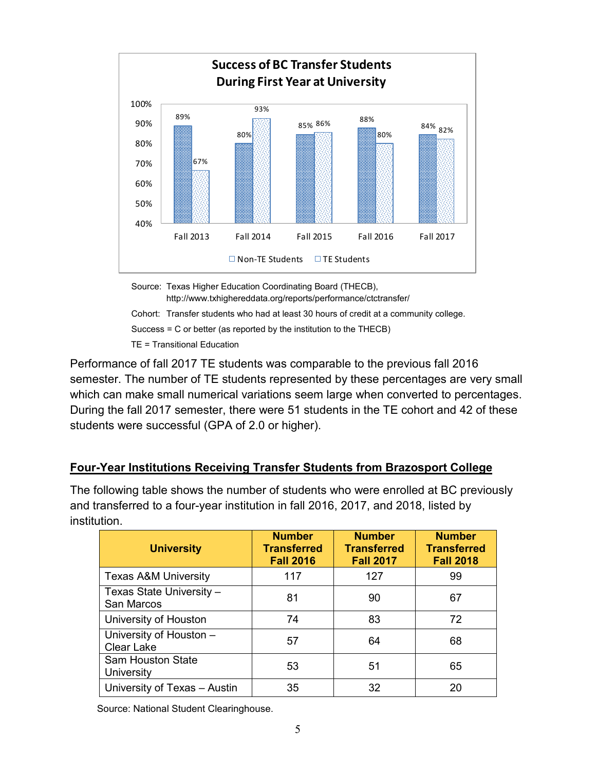

http://www.txhighereddata.org/reports/performance/ctctransfer/ Cohort: Transfer students who had at least 30 hours of credit at a community college. Success = C or better (as reported by the institution to the THECB)

TE = Transitional Education

Performance of fall 2017 TE students was comparable to the previous fall 2016 semester. The number of TE students represented by these percentages are very small which can make small numerical variations seem large when converted to percentages. During the fall 2017 semester, there were 51 students in the TE cohort and 42 of these students were successful (GPA of 2.0 or higher).

### **Four-Year Institutions Receiving Transfer Students from Brazosport College**

The following table shows the number of students who were enrolled at BC previously and transferred to a four-year institution in fall 2016, 2017, and 2018, listed by institution.

| <b>University</b>                            | <b>Number</b><br><b>Transferred</b><br><b>Fall 2016</b> | <b>Number</b><br><b>Transferred</b><br><b>Fall 2017</b> | <b>Number</b><br><b>Transferred</b><br><b>Fall 2018</b> |
|----------------------------------------------|---------------------------------------------------------|---------------------------------------------------------|---------------------------------------------------------|
| <b>Texas A&amp;M University</b>              | 117                                                     | 127                                                     | 99                                                      |
| Texas State University -<br>San Marcos       | 81                                                      | 90                                                      | 67                                                      |
| University of Houston                        | 74                                                      | 83                                                      | 72                                                      |
| University of Houston -<br><b>Clear Lake</b> | 57                                                      | 64                                                      | 68                                                      |
| <b>Sam Houston State</b><br>University       | 53                                                      | 51                                                      | 65                                                      |
| University of Texas - Austin                 | 35                                                      | 32                                                      | 20                                                      |

Source: National Student Clearinghouse.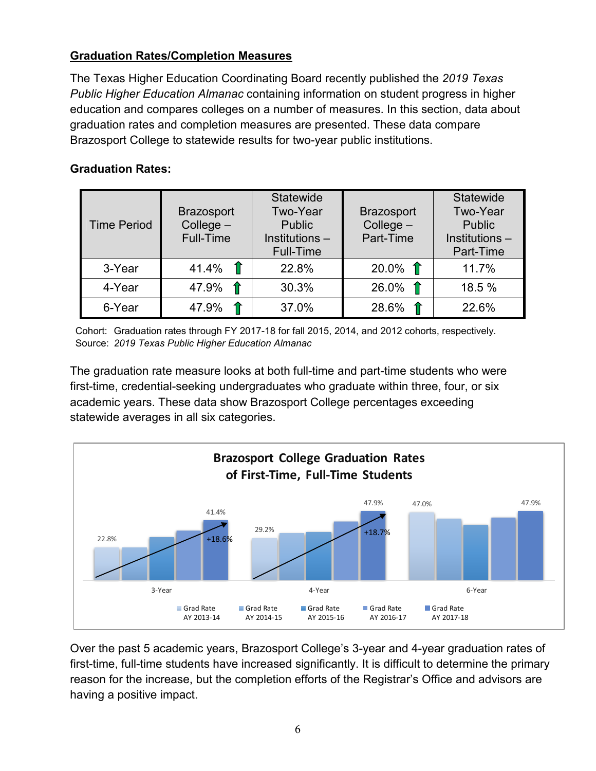### **Graduation Rates/Completion Measures**

The Texas Higher Education Coordinating Board recently published the *2019 Texas Public Higher Education Almanac* containing information on student progress in higher education and compares colleges on a number of measures. In this section, data about graduation rates and completion measures are presented. These data compare Brazosport College to statewide results for two-year public institutions.

### **Graduation Rates:**

| <b>Time Period</b> | <b>Brazosport</b><br>$Collect -$<br>Full-Time | <b>Statewide</b><br>Two-Year<br><b>Public</b><br>Institutions -<br><b>Full-Time</b> | <b>Brazosport</b><br>College $-$<br>Part-Time | <b>Statewide</b><br>Two-Year<br><b>Public</b><br>Institutions -<br>Part-Time |
|--------------------|-----------------------------------------------|-------------------------------------------------------------------------------------|-----------------------------------------------|------------------------------------------------------------------------------|
| 3-Year             | 41.4% $\int$                                  | 22.8%                                                                               | $20.0\%$ 1                                    | 11.7%                                                                        |
| 4-Year             | 47.9% $\hat{\mathbb{T}}$                      | 30.3%                                                                               | $26.0\%$ 1                                    | 18.5 %                                                                       |
| 6-Year             | 47.9%                                         | 37.0%                                                                               | 28.6%                                         | 22.6%                                                                        |

 Cohort: Graduation rates through FY 2017-18 for fall 2015, 2014, and 2012 cohorts, respectively. Source: *2019 Texas Public Higher Education Almanac*

The graduation rate measure looks at both full-time and part-time students who were first-time, credential-seeking undergraduates who graduate within three, four, or six academic years. These data show Brazosport College percentages exceeding statewide averages in all six categories.



Over the past 5 academic years, Brazosport College's 3-year and 4-year graduation rates of first-time, full-time students have increased significantly. It is difficult to determine the primary reason for the increase, but the completion efforts of the Registrar's Office and advisors are having a positive impact.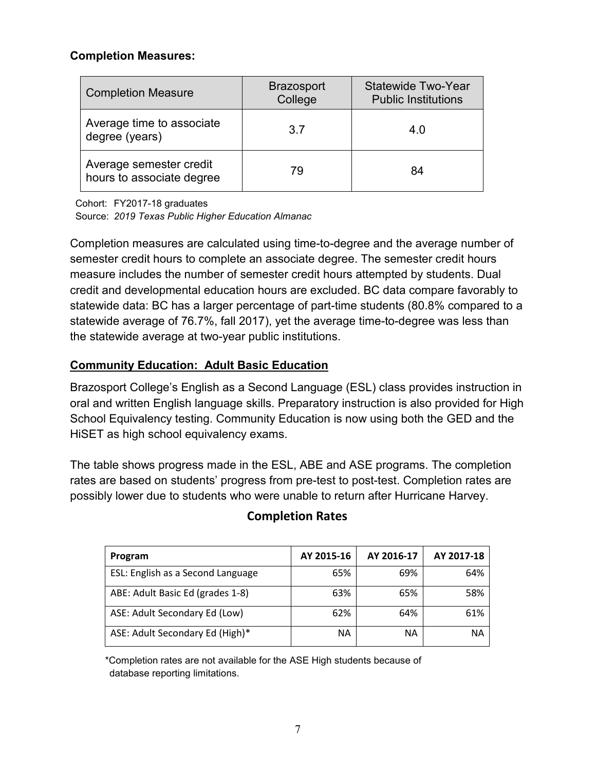#### **Completion Measures:**

| <b>Completion Measure</b>                            | <b>Brazosport</b><br>College | Statewide Two-Year<br><b>Public Institutions</b> |  |
|------------------------------------------------------|------------------------------|--------------------------------------------------|--|
| Average time to associate<br>degree (years)          | 37                           | 4.0                                              |  |
| Average semester credit<br>hours to associate degree | 79                           | 84                                               |  |

Cohort: FY2017-18 graduates

Source: *2019 Texas Public Higher Education Almanac*

Completion measures are calculated using time-to-degree and the average number of semester credit hours to complete an associate degree. The semester credit hours measure includes the number of semester credit hours attempted by students. Dual credit and developmental education hours are excluded. BC data compare favorably to statewide data: BC has a larger percentage of part-time students (80.8% compared to a statewide average of 76.7%, fall 2017), yet the average time-to-degree was less than the statewide average at two-year public institutions.

### **Community Education: Adult Basic Education**

Brazosport College's English as a Second Language (ESL) class provides instruction in oral and written English language skills. Preparatory instruction is also provided for High School Equivalency testing. Community Education is now using both the GED and the HiSET as high school equivalency exams.

The table shows progress made in the ESL, ABE and ASE programs. The completion rates are based on students' progress from pre-test to post-test. Completion rates are possibly lower due to students who were unable to return after Hurricane Harvey.

| Program                           | AY 2015-16 | AY 2016-17 | AY 2017-18 |
|-----------------------------------|------------|------------|------------|
| ESL: English as a Second Language | 65%        | 69%        | 64%        |
| ABE: Adult Basic Ed (grades 1-8)  | 63%        | 65%        | 58%        |
| ASE: Adult Secondary Ed (Low)     | 62%        | 64%        | 61%        |
| ASE: Adult Secondary Ed (High)*   | ΝA         | ΝA         | ΝA         |

## **Completion Rates**

\*Completion rates are not available for the ASE High students because of database reporting limitations.